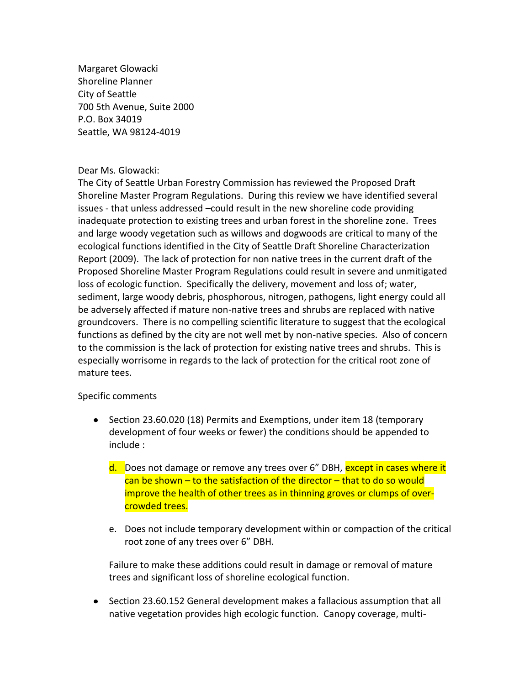Margaret Glowacki Shoreline Planner City of Seattle 700 5th Avenue, Suite 2000 P.O. Box 34019 Seattle, WA 98124-4019

## Dear Ms. Glowacki:

The City of Seattle Urban Forestry Commission has reviewed the Proposed Draft Shoreline Master Program Regulations. During this review we have identified several issues - that unless addressed –could result in the new shoreline code providing inadequate protection to existing trees and urban forest in the shoreline zone. Trees and large woody vegetation such as willows and dogwoods are critical to many of the ecological functions identified in the City of Seattle Draft Shoreline Characterization Report (2009). The lack of protection for non native trees in the current draft of the Proposed Shoreline Master Program Regulations could result in severe and unmitigated loss of ecologic function. Specifically the delivery, movement and loss of; water, sediment, large woody debris, phosphorous, nitrogen, pathogens, light energy could all be adversely affected if mature non-native trees and shrubs are replaced with native groundcovers. There is no compelling scientific literature to suggest that the ecological functions as defined by the city are not well met by non-native species. Also of concern to the commission is the lack of protection for existing native trees and shrubs. This is especially worrisome in regards to the lack of protection for the critical root zone of mature tees.

## Specific comments

- Section 23.60.020 (18) Permits and Exemptions, under item 18 (temporary development of four weeks or fewer) the conditions should be appended to include :
	- d. Does not damage or remove any trees over 6" DBH, except in cases where it  $can$  be shown – to the satisfaction of the director – that to do so would improve the health of other trees as in thinning groves or clumps of overcrowded trees.
	- e. Does not include temporary development within or compaction of the critical root zone of any trees over 6" DBH.

Failure to make these additions could result in damage or removal of mature trees and significant loss of shoreline ecological function.

• Section 23.60.152 General development makes a fallacious assumption that all native vegetation provides high ecologic function. Canopy coverage, multi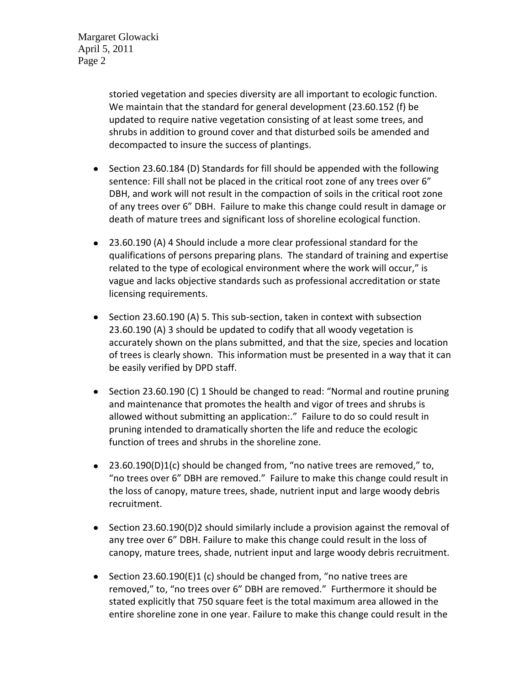Margaret Glowacki April 5, 2011 Page 2

> storied vegetation and species diversity are all important to ecologic function. We maintain that the standard for general development (23.60.152 (f) be updated to require native vegetation consisting of at least some trees, and shrubs in addition to ground cover and that disturbed soils be amended and decompacted to insure the success of plantings.

- Section 23.60.184 (D) Standards for fill should be appended with the following sentence: Fill shall not be placed in the critical root zone of any trees over 6" DBH, and work will not result in the compaction of soils in the critical root zone of any trees over 6" DBH. Failure to make this change could result in damage or death of mature trees and significant loss of shoreline ecological function.
- 23.60.190 (A) 4 Should include a more clear professional standard for the qualifications of persons preparing plans. The standard of training and expertise related to the type of ecological environment where the work will occur," is vague and lacks objective standards such as professional accreditation or state licensing requirements.
- $\bullet$  Section 23.60.190 (A) 5. This sub-section, taken in context with subsection 23.60.190 (A) 3 should be updated to codify that all woody vegetation is accurately shown on the plans submitted, and that the size, species and location of trees is clearly shown. This information must be presented in a way that it can be easily verified by DPD staff.
- Section 23.60.190 (C) 1 Should be changed to read: "Normal and routine pruning and maintenance that promotes the health and vigor of trees and shrubs is allowed without submitting an application:." Failure to do so could result in pruning intended to dramatically shorten the life and reduce the ecologic function of trees and shrubs in the shoreline zone.
- 23.60.190(D)1(c) should be changed from, "no native trees are removed," to, "no trees over 6" DBH are removed." Failure to make this change could result in the loss of canopy, mature trees, shade, nutrient input and large woody debris recruitment.
- Section 23.60.190(D)2 should similarly include a provision against the removal of any tree over 6" DBH. Failure to make this change could result in the loss of canopy, mature trees, shade, nutrient input and large woody debris recruitment.
- Section 23.60.190(E)1 (c) should be changed from, "no native trees are removed," to, "no trees over 6" DBH are removed." Furthermore it should be stated explicitly that 750 square feet is the total maximum area allowed in the entire shoreline zone in one year. Failure to make this change could result in the